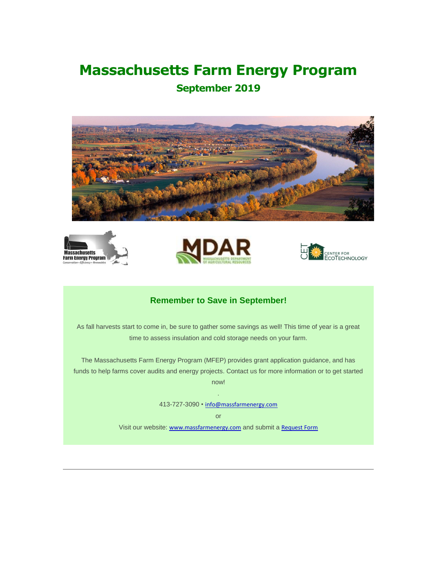# **Massachusetts Farm Energy Program**

## **September 2019**









## **Remember to Save in September!**

As fall harvests start to come in, be sure to gather some savings as well! This time of year is a great time to assess insulation and cold storage needs on your farm.

The Massachusetts Farm Energy Program (MFEP) provides grant application guidance, and has funds to help farms cover audits and energy projects. Contact us for more information or to get started now!

.

413-727-3090 • [info@massfarmenergy.com](mailto:info@massfarmenergy.com)

or

Visit our website: [www.massfarmenergy.com](https://cetonline.us10.list-manage.com/track/click?u=85eb7551e62534efa817b59a1&id=cf2a529533&e=58ab993242) and submit a [Request Form](https://cetonline.us10.list-manage.com/track/click?u=85eb7551e62534efa817b59a1&id=2f254ece47&e=58ab993242)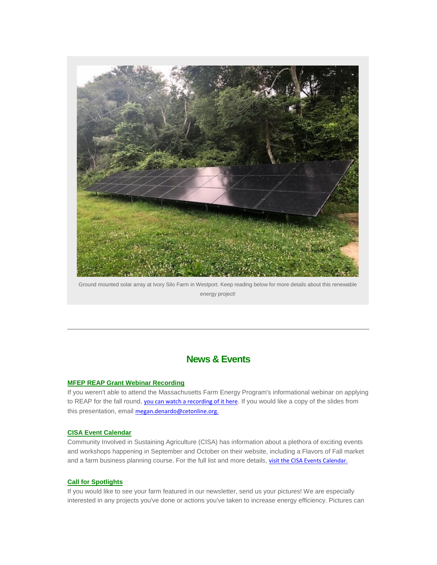

Ground mounted solar array at Ivory Silo Farm in Westport. Keep reading below for more details about this renewable energy project!

## **News & Events**

#### **MFEP REAP Grant Webinar Recording**

If you weren't able to attend the Massachusetts Farm Energy Program's informational webinar on applying to REAP for the fall round, [you can watch a recording of it here](https://cetonline.us10.list-manage.com/track/click?u=85eb7551e62534efa817b59a1&id=ec26975047&e=58ab993242). If you would like a copy of the slides from this presentation, email [megan.denardo@cetonline.org.](mailto:megan.denardo@cetonline.org)

#### **CISA Event Calendar**

Community Involved in Sustaining Agriculture (CISA) has information about a plethora of exciting events and workshops happening in September and October on their website, including a Flavors of Fall market and a farm business planning course. For the full list and more details, [visit the CISA Events Calendar.](https://cetonline.us10.list-manage.com/track/click?u=85eb7551e62534efa817b59a1&id=a932ce9155&e=58ab993242)

#### **Call for Spotlights**

If you would like to see your farm featured in our newsletter, send us your pictures! We are especially interested in any projects you've done or actions you've taken to increase energy efficiency. Pictures can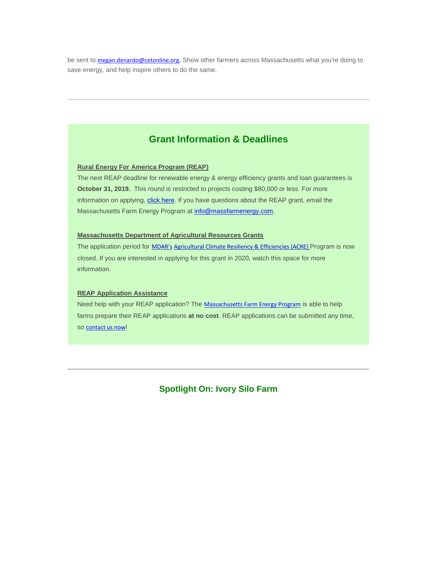be sent to [megan.denardo@cetonline.org](mailto:megan.denardo@cetonline.org). Show other farmers across Massachusetts what you're doing to save energy, and help inspire others to do the same.

## **Grant Information & Deadlines**

#### **Rural Energy For America Program (REAP)**

The next REAP deadline for renewable energy & energy efficiency grants and loan guarantees is **October 31, 2019.** This round is restricted to projects costing \$80,000 or less. For more information on applying, [click here.](https://cetonline.us10.list-manage.com/track/click?u=85eb7551e62534efa817b59a1&id=ff8a56817f&e=58ab993242) If you have questions about the REAP grant, email the Massachusetts Farm Energy Program at [info@massfarmenergy.com.](mailto:info@massfarmenergy.com)

#### **Massachusetts Department of Agricultural Resources Grants**

The application period for [MDAR's](https://cetonline.us10.list-manage.com/track/click?u=85eb7551e62534efa817b59a1&id=d48897418f&e=58ab993242) [Agricultural Climate Resiliency & Efficiencies \(ACRE\)](https://cetonline.us10.list-manage.com/track/click?u=85eb7551e62534efa817b59a1&id=1f23b95f04&e=58ab993242) Program is now closed. If you are interested in applying for this grant in 2020, watch this space for more information.

#### **REAP Application Assistance**

Need help with your REAP application? The [Massachusetts Farm Energy Program](https://cetonline.us10.list-manage.com/track/click?u=85eb7551e62534efa817b59a1&id=c10067b2d5&e=58ab993242) is able to help farms prepare their REAP applications **at no cost**. REAP applications can be submitted any time, so [contact us now](https://cetonline.us10.list-manage.com/track/click?u=85eb7551e62534efa817b59a1&id=41fc72e767&e=58ab993242)!

**Spotlight On: Ivory Silo Farm**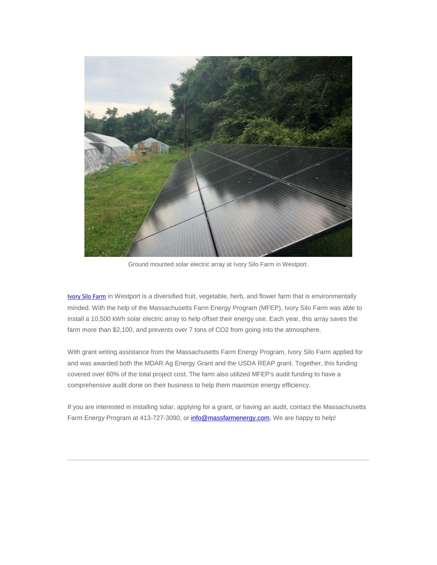

Ground mounted solar electric array at Ivory Silo Farm in Westport.

[Ivory Silo Farm](https://cetonline.us10.list-manage.com/track/click?u=85eb7551e62534efa817b59a1&id=c9ec505f87&e=58ab993242) in Westport is a diversified fruit, vegetable, herb, and flower farm that is environmentally minded. With the help of the Massachusetts Farm Energy Program (MFEP), Ivory Silo Farm was able to install a 10,500 kWh solar electric array to help offset their energy use. Each year, this array saves the farm more than \$2,100, and prevents over 7 tons of CO2 from going into the atmosphere.

With grant writing assistance from the Massachusetts Farm Energy Program, Ivory Silo Farm applied for and was awarded both the MDAR Ag Energy Grant and the USDA REAP grant. Together, this funding covered over 60% of the total project cost. The farm also utilized MFEP's audit funding to have a comprehensive audit done on their business to help them maximize energy efficiency.

If you are interested in installing solar, applying for a grant, or having an audit, contact the Massachusetts Farm Energy Program at 413-727-3090, o[r info@massfarmenergy.com.](mailto:info@massfarmenergy.com) We are happy to help!